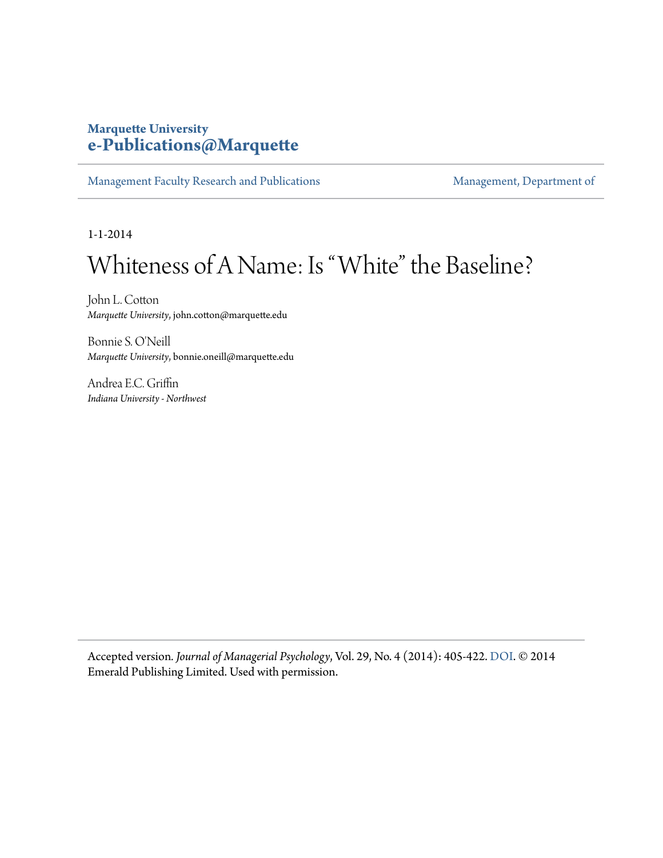## **Marquette University [e-Publications@Marquette](https://epublications.marquette.edu)**

[Management Faculty Research and Publications](https://epublications.marquette.edu/mgmt_fac) [Management, Department of](https://epublications.marquette.edu/mgmt)

1-1-2014

# Whiteness of A Name: Is "White" the Baseline?

John L. Cotton *Marquette University*, john.cotton@marquette.edu

Bonnie S. O'Neill *Marquette University*, bonnie.oneill@marquette.edu

Andrea E.C. Griffin *Indiana University - Northwest*

Accepted version*. Journal of Managerial Psychology*, Vol. 29, No. 4 (2014): 405-422. [DOI](https://doi.org/10.1108/JMP-03-2012-0086). © 2014 Emerald Publishing Limited. Used with permission.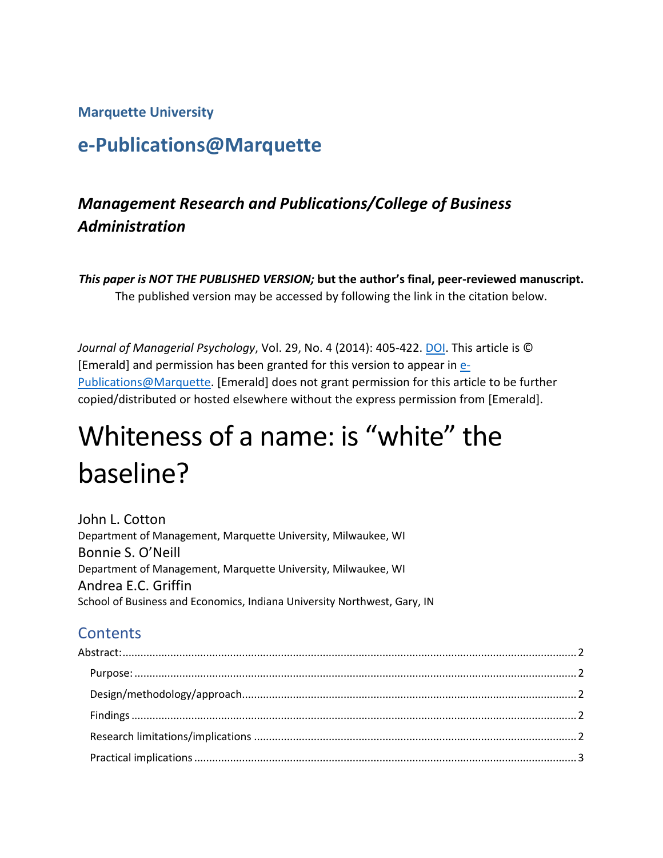## **Marquette University**

# **e-Publications@Marquette**

# *Management Research and Publications/College of Business Administration*

*This paper is NOT THE PUBLISHED VERSION;* **but the author's final, peer-reviewed manuscript.**  The published version may be accessed by following the link in the citation below.

*Journal of Managerial Psychology, Vol.* 29, No. 4 (2014): 405-422. **DOI**. This article is © [Emerald] and permission has been granted for this version to appear in [e-](http://epublications.marquette.edu/)[Publications@Marquette.](http://epublications.marquette.edu/) [Emerald] does not grant permission for this article to be further copied/distributed or hosted elsewhere without the express permission from [Emerald].

# Whiteness of a name: is "white" the baseline?

| John L. Cotton                                                           |
|--------------------------------------------------------------------------|
| Department of Management, Marquette University, Milwaukee, WI            |
| Bonnie S. O'Neill                                                        |
| Department of Management, Marquette University, Milwaukee, WI            |
| Andrea E.C. Griffin                                                      |
| School of Business and Economics, Indiana University Northwest, Gary, IN |

# **Contents**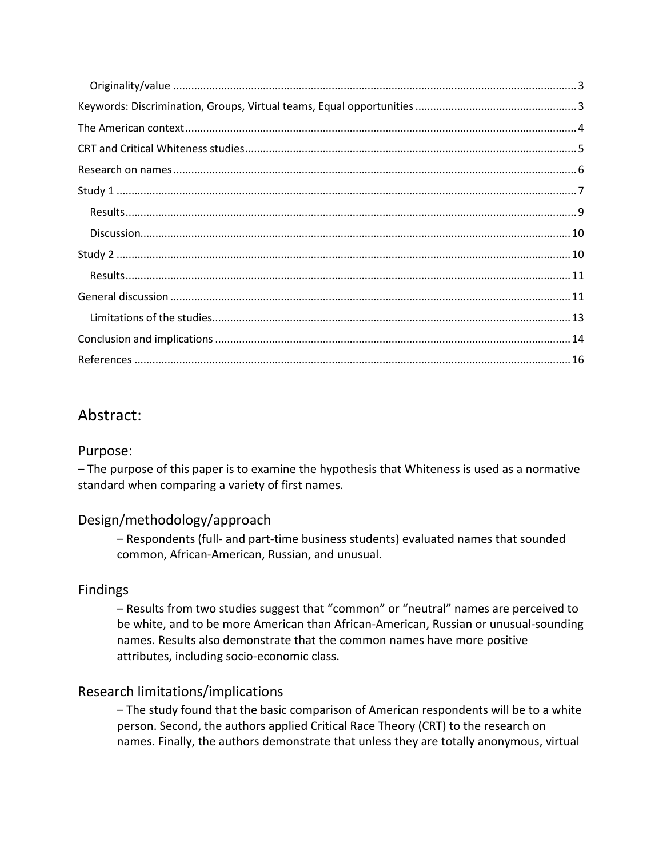# <span id="page-2-0"></span>Abstract:

## <span id="page-2-1"></span>Purpose:

– The purpose of this paper is to examine the hypothesis that Whiteness is used as a normative standard when comparing a variety of first names.

## <span id="page-2-2"></span>Design/methodology/approach

– Respondents (full- and part-time business students) evaluated names that sounded common, African-American, Russian, and unusual.

## <span id="page-2-3"></span>Findings

– Results from two studies suggest that "common" or "neutral" names are perceived to be white, and to be more American than African-American, Russian or unusual-sounding names. Results also demonstrate that the common names have more positive attributes, including socio-economic class.

## <span id="page-2-4"></span>Research limitations/implications

– The study found that the basic comparison of American respondents will be to a white person. Second, the authors applied Critical Race Theory (CRT) to the research on names. Finally, the authors demonstrate that unless they are totally anonymous, virtual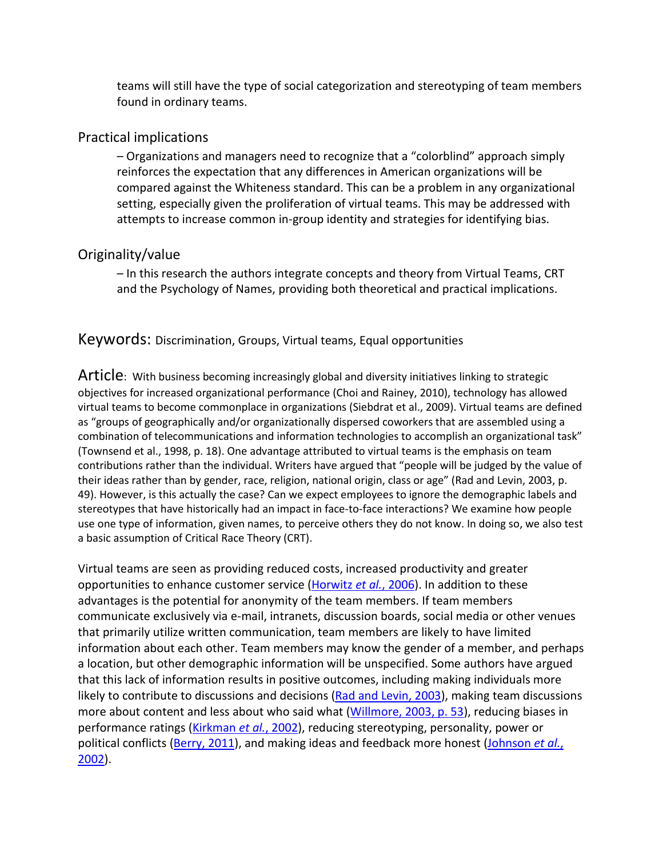teams will still have the type of social categorization and stereotyping of team members found in ordinary teams.

## <span id="page-3-0"></span>Practical implications

– Organizations and managers need to recognize that a "colorblind" approach simply reinforces the expectation that any differences in American organizations will be compared against the Whiteness standard. This can be a problem in any organizational setting, especially given the proliferation of virtual teams. This may be addressed with attempts to increase common in-group identity and strategies for identifying bias.

## <span id="page-3-1"></span>Originality/value

– In this research the authors integrate concepts and theory from Virtual Teams, CRT and the Psychology of Names, providing both theoretical and practical implications.

<span id="page-3-2"></span>Keywords: [Discrimination,](https://www.emeraldinsight.com/keyword/Discrimination) [Groups,](https://www.emeraldinsight.com/keyword/Groups) [Virtual teams,](https://www.emeraldinsight.com/keyword/Virtual+Teams) [Equal opportunities](https://www.emeraldinsight.com/keyword/Equal+Opportunities)

Article: With business becoming increasingly global and diversity initiatives linking to strategic objectives for increased organizational performance [\(Choi and Rainey, 2010\)](https://www.emeraldinsight.com/doi/full/10.1108/JMP-03-2012-0086), technology has allowed virtual teams to become commonplace in organizations [\(Siebdrat et al., 2009\)](https://www.emeraldinsight.com/doi/full/10.1108/JMP-03-2012-0086). Virtual teams are defined as "groups of geographically and/or organizationally dispersed coworkers that are assembled using a combination of telecommunications and information technologies to accomplish an organizational task" [\(Townsend et al., 1998, p. 18\)](https://www.emeraldinsight.com/doi/full/10.1108/JMP-03-2012-0086). One advantage attributed to virtual teams is the emphasis on team contributions rather than the individual. Writers have argued that "people will be judged by the value of their ideas rather than by gender, race, religion, national origin, class or age" [\(Rad and Levin, 2003, p.](https://www.emeraldinsight.com/doi/full/10.1108/JMP-03-2012-0086)  [49\)](https://www.emeraldinsight.com/doi/full/10.1108/JMP-03-2012-0086). However, is this actually the case? Can we expect employees to ignore the demographic labels and stereotypes that have historically had an impact in face-to-face interactions? We examine how people use one type of information, given names, to perceive others they do not know. In doing so, we also test a basic assumption of Critical Race Theory (CRT).

Virtual teams are seen as providing reduced costs, increased productivity and greater opportunities to enhance customer service [\(Horwitz](https://www.emeraldinsight.com/doi/full/10.1108/JMP-03-2012-0086) *et al.*, 2006). In addition to these advantages is the potential for anonymity of the team members. If team members communicate exclusively via e-mail, intranets, discussion boards, social media or other venues that primarily utilize written communication, team members are likely to have limited information about each other. Team members may know the gender of a member, and perhaps a location, but other demographic information will be unspecified. Some authors have argued that this lack of information results in positive outcomes, including making individuals more likely to contribute to discussions and decisions [\(Rad and Levin, 2003\)](https://www.emeraldinsight.com/doi/full/10.1108/JMP-03-2012-0086), making team discussions more about content and less about who said what [\(Willmore, 2003, p. 53\)](https://www.emeraldinsight.com/doi/full/10.1108/JMP-03-2012-0086), reducing biases in performance ratings [\(Kirkman](https://www.emeraldinsight.com/doi/full/10.1108/JMP-03-2012-0086) *et al.*, 2002), reducing stereotyping, personality, power or political conflicts [\(Berry, 2011\)](https://www.emeraldinsight.com/doi/full/10.1108/JMP-03-2012-0086), and making ideas and feedback more honest [\(Johnson](https://www.emeraldinsight.com/doi/full/10.1108/JMP-03-2012-0086) et al., [2002\)](https://www.emeraldinsight.com/doi/full/10.1108/JMP-03-2012-0086).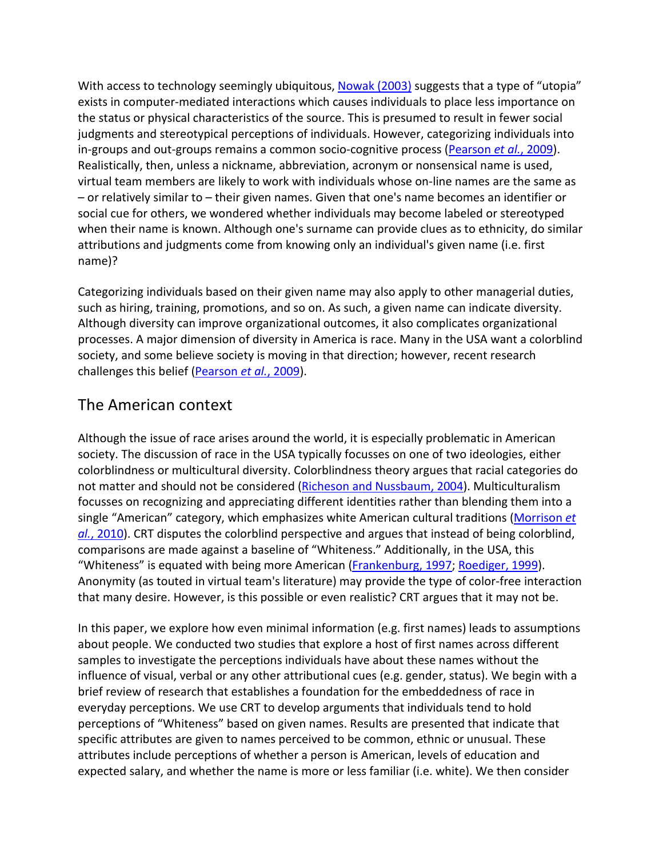With access to technology seemingly ubiquitous, [Nowak \(2003\)](https://www.emeraldinsight.com/doi/full/10.1108/JMP-03-2012-0086) suggests that a type of "utopia" exists in computer-mediated interactions which causes individuals to place less importance on the status or physical characteristics of the source. This is presumed to result in fewer social judgments and stereotypical perceptions of individuals. However, categorizing individuals into in-groups and out-groups remains a common socio-cognitive process [\(Pearson](https://www.emeraldinsight.com/doi/full/10.1108/JMP-03-2012-0086) *et al.*, 2009). Realistically, then, unless a nickname, abbreviation, acronym or nonsensical name is used, virtual team members are likely to work with individuals whose on-line names are the same as – or relatively similar to – their given names. Given that one's name becomes an identifier or social cue for others, we wondered whether individuals may become labeled or stereotyped when their name is known. Although one's surname can provide clues as to ethnicity, do similar attributions and judgments come from knowing only an individual's given name (i.e. first name)?

Categorizing individuals based on their given name may also apply to other managerial duties, such as hiring, training, promotions, and so on. As such, a given name can indicate diversity. Although diversity can improve organizational outcomes, it also complicates organizational processes. A major dimension of diversity in America is race. Many in the USA want a colorblind society, and some believe society is moving in that direction; however, recent research challenges this belief [\(Pearson](https://www.emeraldinsight.com/doi/full/10.1108/JMP-03-2012-0086) *et al.*, 2009).

## <span id="page-4-0"></span>The American context

Although the issue of race arises around the world, it is especially problematic in American society. The discussion of race in the USA typically focusses on one of two ideologies, either colorblindness or multicultural diversity. Colorblindness theory argues that racial categories do not matter and should not be considered [\(Richeson and Nussbaum, 2004\)](https://www.emeraldinsight.com/doi/full/10.1108/JMP-03-2012-0086). Multiculturalism focusses on recognizing and appreciating different identities rather than blending them into a single "American" category, which emphasizes white American cultural traditions [\(Morrison](https://www.emeraldinsight.com/doi/full/10.1108/JMP-03-2012-0086) *et al.*[, 2010\)](https://www.emeraldinsight.com/doi/full/10.1108/JMP-03-2012-0086). CRT disputes the colorblind perspective and argues that instead of being colorblind, comparisons are made against a baseline of "Whiteness." Additionally, in the USA, this "Whiteness" is equated with being more American [\(Frankenburg, 1997; Roediger, 1999\)](https://www.emeraldinsight.com/doi/full/10.1108/JMP-03-2012-0086). Anonymity (as touted in virtual team's literature) may provide the type of color-free interaction that many desire. However, is this possible or even realistic? CRT argues that it may not be.

In this paper, we explore how even minimal information (e.g. first names) leads to assumptions about people. We conducted two studies that explore a host of first names across different samples to investigate the perceptions individuals have about these names without the influence of visual, verbal or any other attributional cues (e.g. gender, status). We begin with a brief review of research that establishes a foundation for the embeddedness of race in everyday perceptions. We use CRT to develop arguments that individuals tend to hold perceptions of "Whiteness" based on given names. Results are presented that indicate that specific attributes are given to names perceived to be common, ethnic or unusual. These attributes include perceptions of whether a person is American, levels of education and expected salary, and whether the name is more or less familiar (i.e. white). We then consider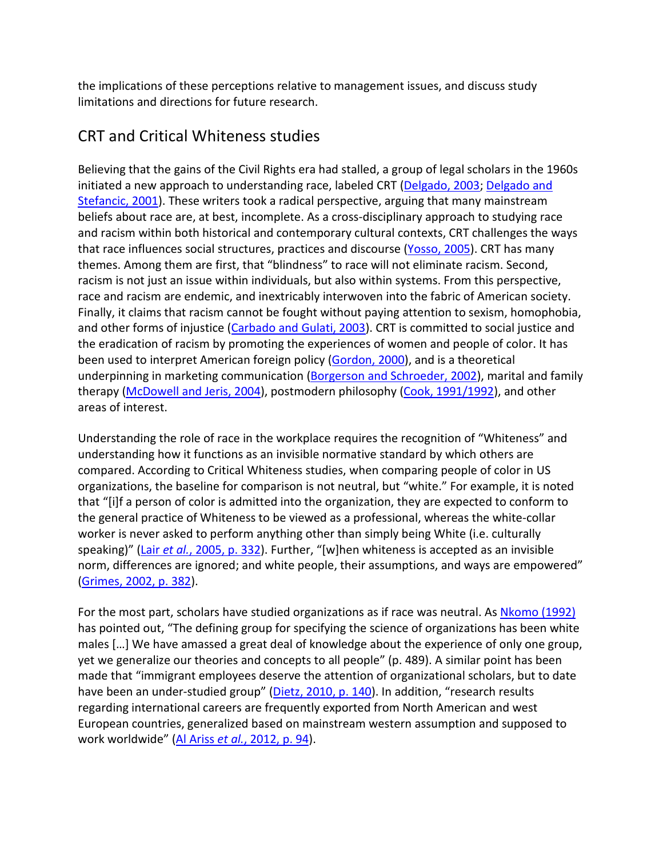the implications of these perceptions relative to management issues, and discuss study limitations and directions for future research.

# <span id="page-5-0"></span>CRT and Critical Whiteness studies

Believing that the gains of the Civil Rights era had stalled, a group of legal scholars in the 1960s initiated a new approach to understanding race, labeled CRT (Delgado, 2003; Delgado and [Stefancic, 2001\)](https://www.emeraldinsight.com/doi/full/10.1108/JMP-03-2012-0086). These writers took a radical perspective, arguing that many mainstream beliefs about race are, at best, incomplete. As a cross-disciplinary approach to studying race and racism within both historical and contemporary cultural contexts, CRT challenges the ways that race influences social structures, practices and discourse [\(Yosso, 2005\)](https://www.emeraldinsight.com/doi/full/10.1108/JMP-03-2012-0086). CRT has many themes. Among them are first, that "blindness" to race will not eliminate racism. Second, racism is not just an issue within individuals, but also within systems. From this perspective, race and racism are endemic, and inextricably interwoven into the fabric of American society. Finally, it claims that racism cannot be fought without paying attention to sexism, homophobia, and other forms of injustice [\(Carbado and Gulati, 2003\)](https://www.emeraldinsight.com/doi/full/10.1108/JMP-03-2012-0086). CRT is committed to social justice and the eradication of racism by promoting the experiences of women and people of color. It has been used to interpret American foreign policy [\(Gordon, 2000\)](https://www.emeraldinsight.com/doi/full/10.1108/JMP-03-2012-0086), and is a theoretical underpinning in marketing communication [\(Borgerson and Schroeder, 2002\)](https://www.emeraldinsight.com/doi/full/10.1108/JMP-03-2012-0086), marital and family therapy [\(McDowell and Jeris, 2004\)](https://www.emeraldinsight.com/doi/full/10.1108/JMP-03-2012-0086), postmodern philosophy [\(Cook, 1991/1992\)](https://www.emeraldinsight.com/doi/full/10.1108/JMP-03-2012-0086), and other areas of interest.

Understanding the role of race in the workplace requires the recognition of "Whiteness" and understanding how it functions as an invisible normative standard by which others are compared. According to Critical Whiteness studies, when comparing people of color in US organizations, the baseline for comparison is not neutral, but "white." For example, it is noted that "[i]f a person of color is admitted into the organization, they are expected to conform to the general practice of Whiteness to be viewed as a professional, whereas the white-collar worker is never asked to perform anything other than simply being White (i.e. culturally speaking)" (Lair *et al.*[, 2005, p. 332\)](https://www.emeraldinsight.com/doi/full/10.1108/JMP-03-2012-0086). Further, "[w]hen whiteness is accepted as an invisible norm, differences are ignored; and white people, their assumptions, and ways are empowered" [\(Grimes, 2002, p. 382\)](https://www.emeraldinsight.com/doi/full/10.1108/JMP-03-2012-0086).

For the most part, scholars have studied organizations as if race was neutral. As [Nkomo \(1992\)](https://www.emeraldinsight.com/doi/full/10.1108/JMP-03-2012-0086) has pointed out, "The defining group for specifying the science of organizations has been white males […] We have amassed a great deal of knowledge about the experience of only one group, yet we generalize our theories and concepts to all people" (p. 489). A similar point has been made that "immigrant employees deserve the attention of organizational scholars, but to date have been an under-studied group" [\(Dietz, 2010, p. 140\)](https://www.emeraldinsight.com/doi/full/10.1108/JMP-03-2012-0086). In addition, "research results regarding international careers are frequently exported from North American and west European countries, generalized based on mainstream western assumption and supposed to work worldwide" (Al Ariss *et al.*[, 2012, p. 94\)](https://www.emeraldinsight.com/doi/full/10.1108/JMP-03-2012-0086).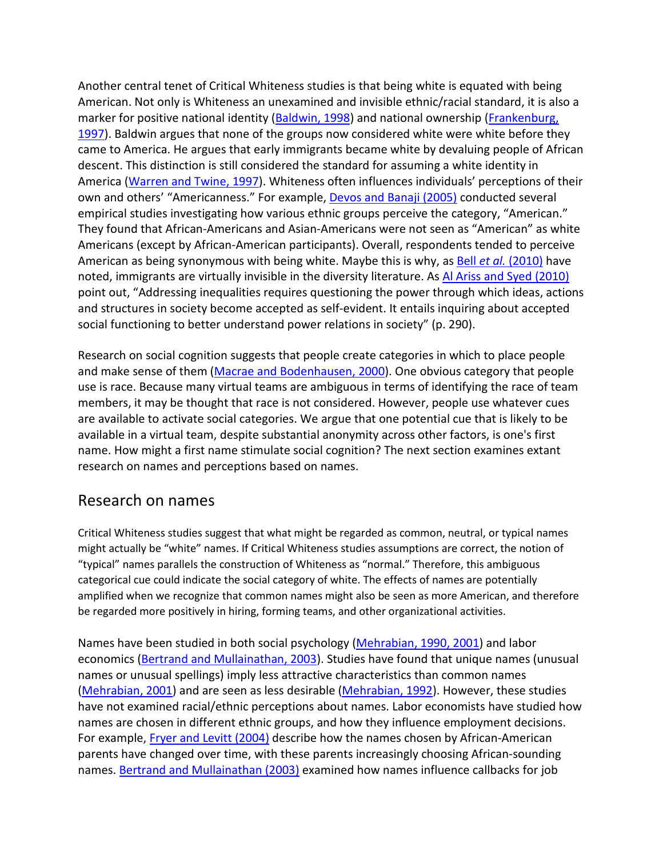Another central tenet of Critical Whiteness studies is that being white is equated with being American. Not only is Whiteness an unexamined and invisible ethnic/racial standard, it is also a marker for positive national identity [\(Baldwin, 1998\)](https://www.emeraldinsight.com/doi/full/10.1108/JMP-03-2012-0086) and national ownership [\(Frankenburg,](https://www.emeraldinsight.com/doi/full/10.1108/JMP-03-2012-0086)  [1997\)](https://www.emeraldinsight.com/doi/full/10.1108/JMP-03-2012-0086). Baldwin argues that none of the groups now considered white were white before they came to America. He argues that early immigrants became white by devaluing people of African descent. This distinction is still considered the standard for assuming a white identity in America [\(Warren and Twine, 1997\)](https://www.emeraldinsight.com/doi/full/10.1108/JMP-03-2012-0086). Whiteness often influences individuals' perceptions of their own and others' "Americanness." For example, [Devos and Banaji \(2005\)](https://www.emeraldinsight.com/doi/full/10.1108/JMP-03-2012-0086) conducted several empirical studies investigating how various ethnic groups perceive the category, "American." They found that African-Americans and Asian-Americans were not seen as "American" as white Americans (except by African-American participants). Overall, respondents tended to perceive American as being synonymous with being white. Maybe this is why, as Bell *et al.* [\(2010\)](https://www.emeraldinsight.com/doi/full/10.1108/JMP-03-2012-0086) have noted, immigrants are virtually invisible in the diversity literature. As [Al Ariss and Syed \(2010\)](https://www.emeraldinsight.com/doi/full/10.1108/JMP-03-2012-0086) point out, "Addressing inequalities requires questioning the power through which ideas, actions and structures in society become accepted as self-evident. It entails inquiring about accepted social functioning to better understand power relations in society" (p. 290).

Research on social cognition suggests that people create categories in which to place people and make sense of them [\(Macrae and Bodenhausen, 2000\)](https://www.emeraldinsight.com/doi/full/10.1108/JMP-03-2012-0086). One obvious category that people use is race. Because many virtual teams are ambiguous in terms of identifying the race of team members, it may be thought that race is not considered. However, people use whatever cues are available to activate social categories. We argue that one potential cue that is likely to be available in a virtual team, despite substantial anonymity across other factors, is one's first name. How might a first name stimulate social cognition? The next section examines extant research on names and perceptions based on names.

## <span id="page-6-0"></span>Research on names

Critical Whiteness studies suggest that what might be regarded as common, neutral, or typical names might actually be "white" names. If Critical Whiteness studies assumptions are correct, the notion of "typical" names parallels the construction of Whiteness as "normal." Therefore, this ambiguous categorical cue could indicate the social category of white. The effects of names are potentially amplified when we recognize that common names might also be seen as more American, and therefore be regarded more positively in hiring, forming teams, and other organizational activities.

Names have been studied in both social psychology [\(Mehrabian, 1990, 2001\)](https://www.emeraldinsight.com/doi/full/10.1108/JMP-03-2012-0086) and labor economics [\(Bertrand and Mullainathan, 2003\)](https://www.emeraldinsight.com/doi/full/10.1108/JMP-03-2012-0086). Studies have found that unique names (unusual names or unusual spellings) imply less attractive characteristics than common names [\(Mehrabian, 2001\)](https://www.emeraldinsight.com/doi/full/10.1108/JMP-03-2012-0086) and are seen as less desirable [\(Mehrabian, 1992\)](https://www.emeraldinsight.com/doi/full/10.1108/JMP-03-2012-0086). However, these studies have not examined racial/ethnic perceptions about names. Labor economists have studied how names are chosen in different ethnic groups, and how they influence employment decisions. For example, [Fryer and Levitt \(2004\)](https://www.emeraldinsight.com/doi/full/10.1108/JMP-03-2012-0086) describe how the names chosen by African-American parents have changed over time, with these parents increasingly choosing African-sounding names. [Bertrand and Mullainathan \(2003\)](https://www.emeraldinsight.com/doi/full/10.1108/JMP-03-2012-0086) examined how names influence callbacks for job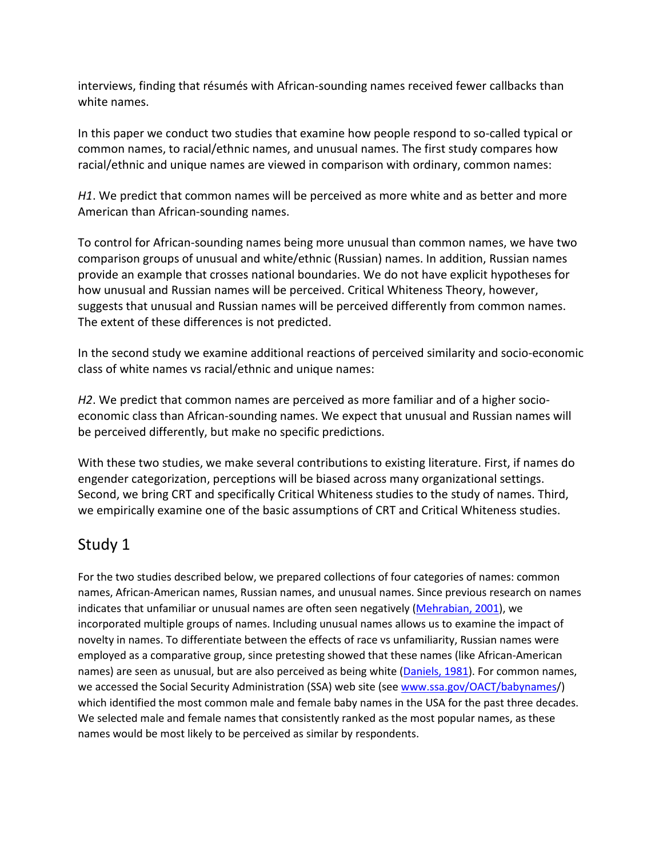interviews, finding that résumés with African-sounding names received fewer callbacks than white names.

In this paper we conduct two studies that examine how people respond to so-called typical or common names, to racial/ethnic names, and unusual names. The first study compares how racial/ethnic and unique names are viewed in comparison with ordinary, common names:

*H1*. We predict that common names will be perceived as more white and as better and more American than African-sounding names.

To control for African-sounding names being more unusual than common names, we have two comparison groups of unusual and white/ethnic (Russian) names. In addition, Russian names provide an example that crosses national boundaries. We do not have explicit hypotheses for how unusual and Russian names will be perceived. Critical Whiteness Theory, however, suggests that unusual and Russian names will be perceived differently from common names. The extent of these differences is not predicted.

In the second study we examine additional reactions of perceived similarity and socio-economic class of white names vs racial/ethnic and unique names:

*H2*. We predict that common names are perceived as more familiar and of a higher socioeconomic class than African-sounding names. We expect that unusual and Russian names will be perceived differently, but make no specific predictions.

With these two studies, we make several contributions to existing literature. First, if names do engender categorization, perceptions will be biased across many organizational settings. Second, we bring CRT and specifically Critical Whiteness studies to the study of names. Third, we empirically examine one of the basic assumptions of CRT and Critical Whiteness studies.

# <span id="page-7-0"></span>Study 1

For the two studies described below, we prepared collections of four categories of names: common names, African-American names, Russian names, and unusual names. Since previous research on names indicates that unfamiliar or unusual names are often seen negatively [\(Mehrabian, 2001\)](https://www.emeraldinsight.com/doi/full/10.1108/JMP-03-2012-0086), we incorporated multiple groups of names. Including unusual names allows us to examine the impact of novelty in names. To differentiate between the effects of race vs unfamiliarity, Russian names were employed as a comparative group, since pretesting showed that these names (like African-American names) are seen as unusual, but are also perceived as being white [\(Daniels, 1981\)](https://www.emeraldinsight.com/doi/full/10.1108/JMP-03-2012-0086). For common names, we accessed the Social Security Administration (SSA) web site (see [www.ssa.gov/OACT/babynames/](http://www.ssa.gov/OACT/babynames)) which identified the most common male and female baby names in the USA for the past three decades. We selected male and female names that consistently ranked as the most popular names, as these names would be most likely to be perceived as similar by respondents.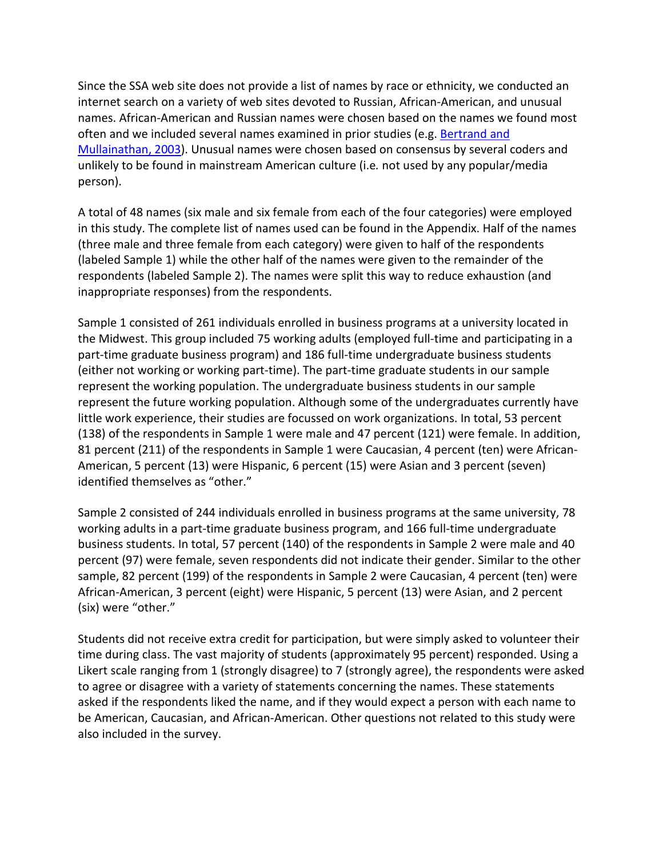Since the SSA web site does not provide a list of names by race or ethnicity, we conducted an internet search on a variety of web sites devoted to Russian, African-American, and unusual names. African-American and Russian names were chosen based on the names we found most often and we included several names examined in prior studies (e.g. [Bertrand and](https://www.emeraldinsight.com/doi/full/10.1108/JMP-03-2012-0086)  [Mullainathan, 2003\)](https://www.emeraldinsight.com/doi/full/10.1108/JMP-03-2012-0086). Unusual names were chosen based on consensus by several coders and unlikely to be found in mainstream American culture (i.e*.* not used by any popular/media person).

A total of 48 names (six male and six female from each of the four categories) were employed in this study. The complete list of names used can be found in the Appendix. Half of the names (three male and three female from each category) were given to half of the respondents (labeled Sample 1) while the other half of the names were given to the remainder of the respondents (labeled Sample 2). The names were split this way to reduce exhaustion (and inappropriate responses) from the respondents.

Sample 1 consisted of 261 individuals enrolled in business programs at a university located in the Midwest. This group included 75 working adults (employed full-time and participating in a part-time graduate business program) and 186 full-time undergraduate business students (either not working or working part-time). The part-time graduate students in our sample represent the working population. The undergraduate business students in our sample represent the future working population. Although some of the undergraduates currently have little work experience, their studies are focussed on work organizations. In total, 53 percent (138) of the respondents in Sample 1 were male and 47 percent (121) were female. In addition, 81 percent (211) of the respondents in Sample 1 were Caucasian, 4 percent (ten) were African-American, 5 percent (13) were Hispanic, 6 percent (15) were Asian and 3 percent (seven) identified themselves as "other."

Sample 2 consisted of 244 individuals enrolled in business programs at the same university, 78 working adults in a part-time graduate business program, and 166 full-time undergraduate business students. In total, 57 percent (140) of the respondents in Sample 2 were male and 40 percent (97) were female, seven respondents did not indicate their gender. Similar to the other sample, 82 percent (199) of the respondents in Sample 2 were Caucasian, 4 percent (ten) were African-American, 3 percent (eight) were Hispanic, 5 percent (13) were Asian, and 2 percent (six) were "other."

Students did not receive extra credit for participation, but were simply asked to volunteer their time during class. The vast majority of students (approximately 95 percent) responded. Using a Likert scale ranging from 1 (strongly disagree) to 7 (strongly agree), the respondents were asked to agree or disagree with a variety of statements concerning the names. These statements asked if the respondents liked the name, and if they would expect a person with each name to be American, Caucasian, and African-American. Other questions not related to this study were also included in the survey.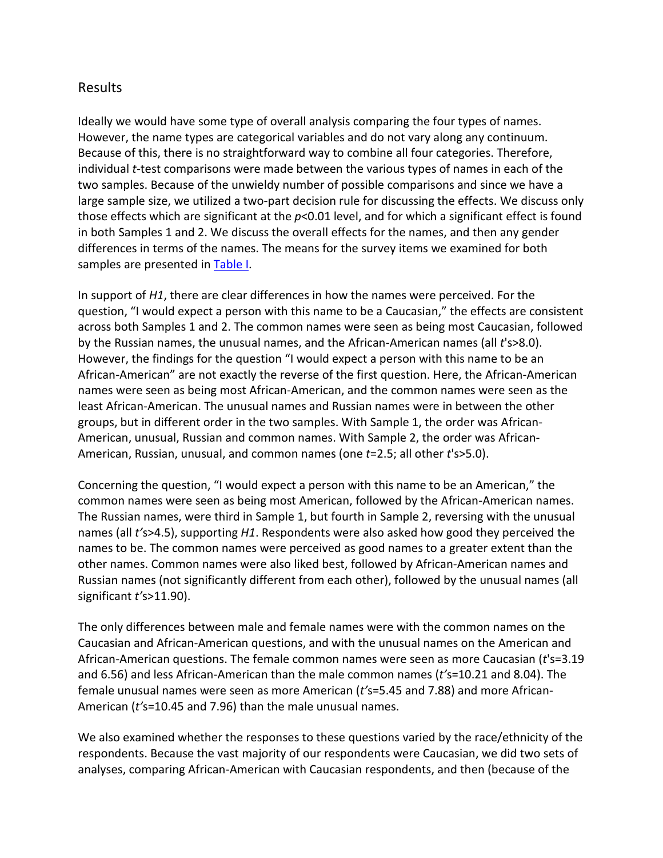#### <span id="page-9-0"></span>Results

Ideally we would have some type of overall analysis comparing the four types of names. However, the name types are categorical variables and do not vary along any continuum. Because of this, there is no straightforward way to combine all four categories. Therefore, individual *t*-test comparisons were made between the various types of names in each of the two samples. Because of the unwieldy number of possible comparisons and since we have a large sample size, we utilized a two-part decision rule for discussing the effects. We discuss only those effects which are significant at the *p*<0.01 level, and for which a significant effect is found in both Samples 1 and 2. We discuss the overall effects for the names, and then any gender differences in terms of the names. The means for the survey items we examined for both samples are presented in [Table I.](https://www.emeraldinsight.com/doi/full/10.1108/JMP-03-2012-0086)

In support of *H1*, there are clear differences in how the names were perceived. For the question, "I would expect a person with this name to be a Caucasian," the effects are consistent across both Samples 1 and 2. The common names were seen as being most Caucasian, followed by the Russian names, the unusual names, and the African-American names (all *t*'s>8.0). However, the findings for the question "I would expect a person with this name to be an African-American" are not exactly the reverse of the first question. Here, the African-American names were seen as being most African-American, and the common names were seen as the least African-American. The unusual names and Russian names were in between the other groups, but in different order in the two samples. With Sample 1, the order was African-American, unusual, Russian and common names. With Sample 2, the order was African-American, Russian, unusual, and common names (one *t*=2.5; all other *t*'s>5.0).

Concerning the question, "I would expect a person with this name to be an American," the common names were seen as being most American, followed by the African-American names. The Russian names, were third in Sample 1, but fourth in Sample 2, reversing with the unusual names (all *t'*s>4.5), supporting *H1*. Respondents were also asked how good they perceived the names to be. The common names were perceived as good names to a greater extent than the other names. Common names were also liked best, followed by African-American names and Russian names (not significantly different from each other), followed by the unusual names (all significant *t'*s>11.90).

The only differences between male and female names were with the common names on the Caucasian and African-American questions, and with the unusual names on the American and African-American questions. The female common names were seen as more Caucasian (*t*'s=3.19 and 6.56) and less African-American than the male common names (*t'*s=10.21 and 8.04). The female unusual names were seen as more American (*t'*s=5.45 and 7.88) and more African-American (*t'*s=10.45 and 7.96) than the male unusual names.

We also examined whether the responses to these questions varied by the race/ethnicity of the respondents. Because the vast majority of our respondents were Caucasian, we did two sets of analyses, comparing African-American with Caucasian respondents, and then (because of the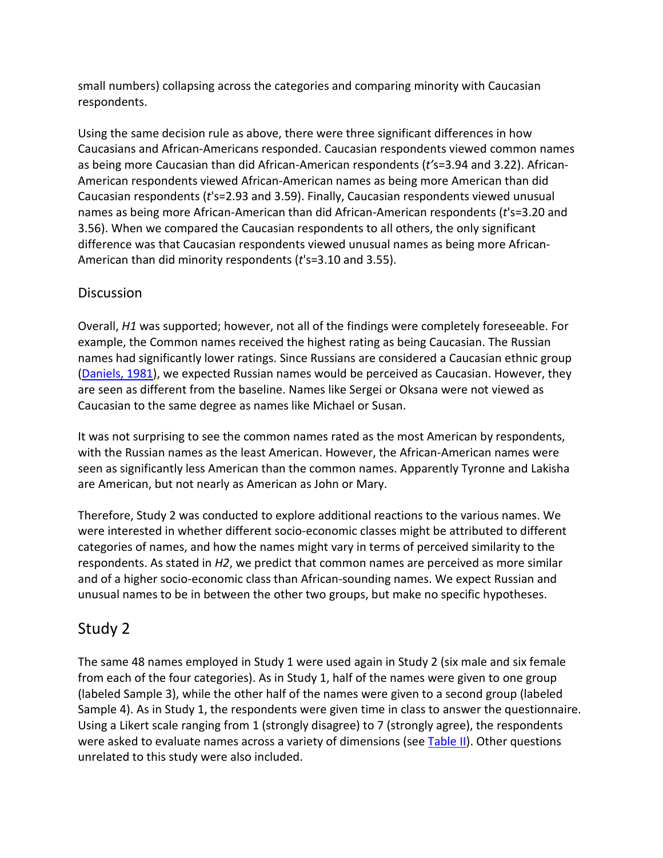small numbers) collapsing across the categories and comparing minority with Caucasian respondents.

Using the same decision rule as above, there were three significant differences in how Caucasians and African-Americans responded. Caucasian respondents viewed common names as being more Caucasian than did African-American respondents (*t'*s=3.94 and 3.22). African-American respondents viewed African-American names as being more American than did Caucasian respondents (*t*'s=2.93 and 3.59). Finally, Caucasian respondents viewed unusual names as being more African-American than did African-American respondents (*t*'s=3.20 and 3.56). When we compared the Caucasian respondents to all others, the only significant difference was that Caucasian respondents viewed unusual names as being more African-American than did minority respondents (*t*'s=3.10 and 3.55).

## <span id="page-10-0"></span>**Discussion**

Overall, *H1* was supported; however, not all of the findings were completely foreseeable. For example, the Common names received the highest rating as being Caucasian. The Russian names had significantly lower ratings. Since Russians are considered a Caucasian ethnic group [\(Daniels, 1981\)](https://www.emeraldinsight.com/doi/full/10.1108/JMP-03-2012-0086), we expected Russian names would be perceived as Caucasian. However, they are seen as different from the baseline. Names like Sergei or Oksana were not viewed as Caucasian to the same degree as names like Michael or Susan.

It was not surprising to see the common names rated as the most American by respondents, with the Russian names as the least American. However, the African-American names were seen as significantly less American than the common names. Apparently Tyronne and Lakisha are American, but not nearly as American as John or Mary.

Therefore, Study 2 was conducted to explore additional reactions to the various names. We were interested in whether different socio-economic classes might be attributed to different categories of names, and how the names might vary in terms of perceived similarity to the respondents. As stated in *H2*, we predict that common names are perceived as more similar and of a higher socio-economic class than African-sounding names. We expect Russian and unusual names to be in between the other two groups, but make no specific hypotheses.

# <span id="page-10-1"></span>Study 2

The same 48 names employed in Study 1 were used again in Study 2 (six male and six female from each of the four categories). As in Study 1, half of the names were given to one group (labeled Sample 3), while the other half of the names were given to a second group (labeled Sample 4). As in Study 1, the respondents were given time in class to answer the questionnaire. Using a Likert scale ranging from 1 (strongly disagree) to 7 (strongly agree), the respondents were asked to evaluate names across a variety of dimensions (see [Table II\)](https://www.emeraldinsight.com/doi/full/10.1108/JMP-03-2012-0086). Other questions unrelated to this study were also included.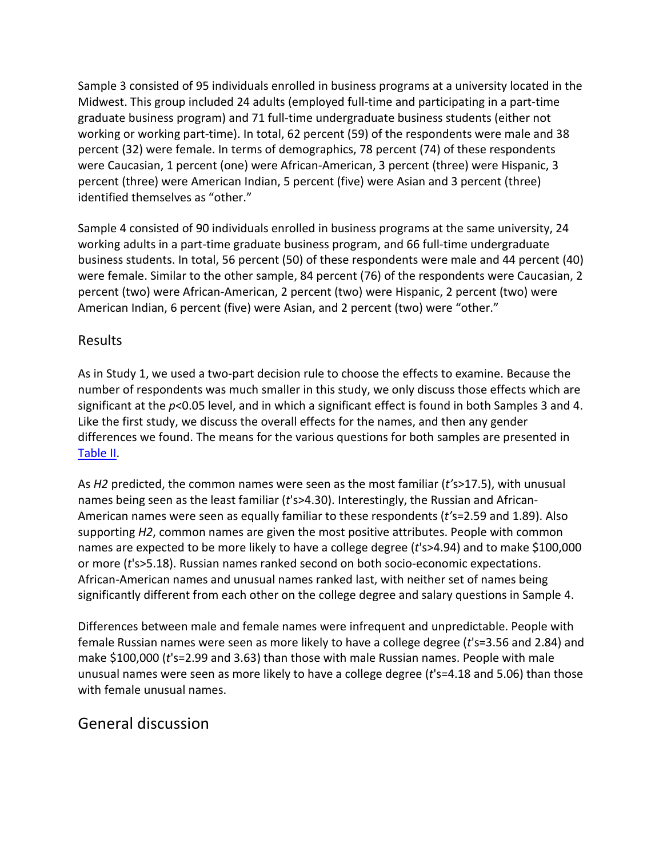Sample 3 consisted of 95 individuals enrolled in business programs at a university located in the Midwest. This group included 24 adults (employed full-time and participating in a part-time graduate business program) and 71 full-time undergraduate business students (either not working or working part-time). In total, 62 percent (59) of the respondents were male and 38 percent (32) were female. In terms of demographics, 78 percent (74) of these respondents were Caucasian, 1 percent (one) were African-American, 3 percent (three) were Hispanic, 3 percent (three) were American Indian, 5 percent (five) were Asian and 3 percent (three) identified themselves as "other."

Sample 4 consisted of 90 individuals enrolled in business programs at the same university, 24 working adults in a part-time graduate business program, and 66 full-time undergraduate business students. In total, 56 percent (50) of these respondents were male and 44 percent (40) were female. Similar to the other sample, 84 percent (76) of the respondents were Caucasian, 2 percent (two) were African-American, 2 percent (two) were Hispanic, 2 percent (two) were American Indian, 6 percent (five) were Asian, and 2 percent (two) were "other."

## <span id="page-11-0"></span>Results

As in Study 1, we used a two-part decision rule to choose the effects to examine. Because the number of respondents was much smaller in this study, we only discuss those effects which are significant at the *p*<0.05 level, and in which a significant effect is found in both Samples 3 and 4. Like the first study, we discuss the overall effects for the names, and then any gender differences we found. The means for the various questions for both samples are presented in [Table II.](https://www.emeraldinsight.com/doi/full/10.1108/JMP-03-2012-0086)

As *H2* predicted, the common names were seen as the most familiar (*t'*s>17.5), with unusual names being seen as the least familiar (*t*'s>4.30). Interestingly, the Russian and African-American names were seen as equally familiar to these respondents (*t'*s=2.59 and 1.89). Also supporting *H2*, common names are given the most positive attributes. People with common names are expected to be more likely to have a college degree (*t*'s>4.94) and to make \$100,000 or more (*t*'s>5.18). Russian names ranked second on both socio-economic expectations. African-American names and unusual names ranked last, with neither set of names being significantly different from each other on the college degree and salary questions in Sample 4.

Differences between male and female names were infrequent and unpredictable. People with female Russian names were seen as more likely to have a college degree (*t*'s=3.56 and 2.84) and make \$100,000 (*t*'s=2.99 and 3.63) than those with male Russian names. People with male unusual names were seen as more likely to have a college degree (*t*'s=4.18 and 5.06) than those with female unusual names.

## <span id="page-11-1"></span>General discussion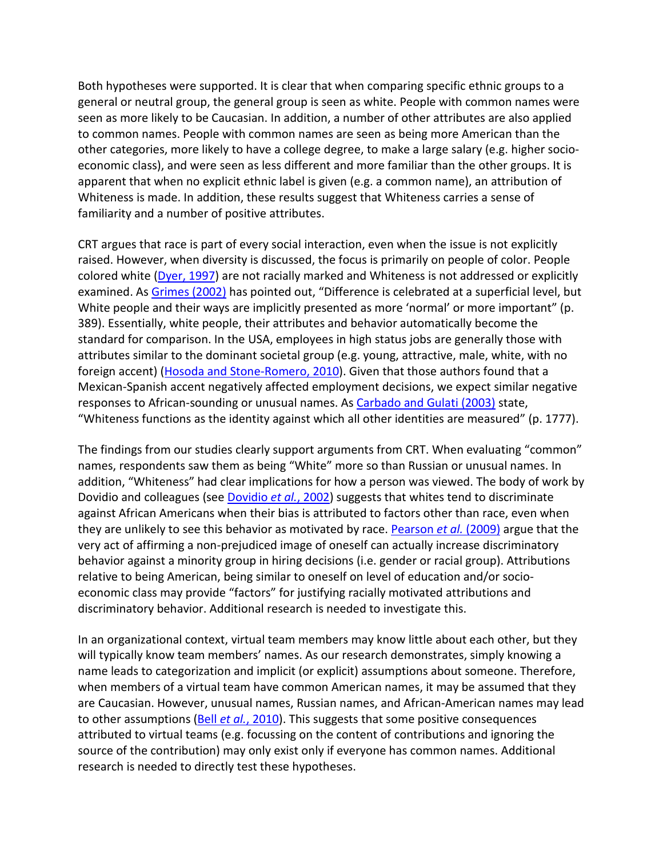Both hypotheses were supported. It is clear that when comparing specific ethnic groups to a general or neutral group, the general group is seen as white. People with common names were seen as more likely to be Caucasian. In addition, a number of other attributes are also applied to common names. People with common names are seen as being more American than the other categories, more likely to have a college degree, to make a large salary (e.g. higher socioeconomic class), and were seen as less different and more familiar than the other groups. It is apparent that when no explicit ethnic label is given (e.g. a common name), an attribution of Whiteness is made. In addition, these results suggest that Whiteness carries a sense of familiarity and a number of positive attributes.

CRT argues that race is part of every social interaction, even when the issue is not explicitly raised. However, when diversity is discussed, the focus is primarily on people of color. People colored white [\(Dyer, 1997\)](https://www.emeraldinsight.com/doi/full/10.1108/JMP-03-2012-0086) are not racially marked and Whiteness is not addressed or explicitly examined. As [Grimes \(2002\)](https://www.emeraldinsight.com/doi/full/10.1108/JMP-03-2012-0086) has pointed out, "Difference is celebrated at a superficial level, but White people and their ways are implicitly presented as more 'normal' or more important" (p. 389). Essentially, white people, their attributes and behavior automatically become the standard for comparison. In the USA, employees in high status jobs are generally those with attributes similar to the dominant societal group (e.g. young, attractive, male, white, with no foreign accent) [\(Hosoda and Stone-Romero, 2010\)](https://www.emeraldinsight.com/doi/full/10.1108/JMP-03-2012-0086). Given that those authors found that a Mexican-Spanish accent negatively affected employment decisions, we expect similar negative responses to African-sounding or unusual names. As [Carbado and Gulati \(2003\)](https://www.emeraldinsight.com/doi/full/10.1108/JMP-03-2012-0086) state, "Whiteness functions as the identity against which all other identities are measured" (p. 1777).

The findings from our studies clearly support arguments from CRT. When evaluating "common" names, respondents saw them as being "White" more so than Russian or unusual names. In addition, "Whiteness" had clear implications for how a person was viewed. The body of work by Dovidio and colleagues (see [Dovidio](https://www.emeraldinsight.com/doi/full/10.1108/JMP-03-2012-0086) *et al.*, 2002) suggests that whites tend to discriminate against African Americans when their bias is attributed to factors other than race, even when they are unlikely to see this behavior as motivated by race. [Pearson](https://www.emeraldinsight.com/doi/full/10.1108/JMP-03-2012-0086) *et al.* (2009) argue that the very act of affirming a non-prejudiced image of oneself can actually increase discriminatory behavior against a minority group in hiring decisions (i.e. gender or racial group). Attributions relative to being American, being similar to oneself on level of education and/or socioeconomic class may provide "factors" for justifying racially motivated attributions and discriminatory behavior. Additional research is needed to investigate this.

In an organizational context, virtual team members may know little about each other, but they will typically know team members' names. As our research demonstrates, simply knowing a name leads to categorization and implicit (or explicit) assumptions about someone. Therefore, when members of a virtual team have common American names, it may be assumed that they are Caucasian. However, unusual names, Russian names, and African-American names may lead to other assumptions (Bell *et al.*[, 2010\)](https://www.emeraldinsight.com/doi/full/10.1108/JMP-03-2012-0086). This suggests that some positive consequences attributed to virtual teams (e.g. focussing on the content of contributions and ignoring the source of the contribution) may only exist only if everyone has common names. Additional research is needed to directly test these hypotheses.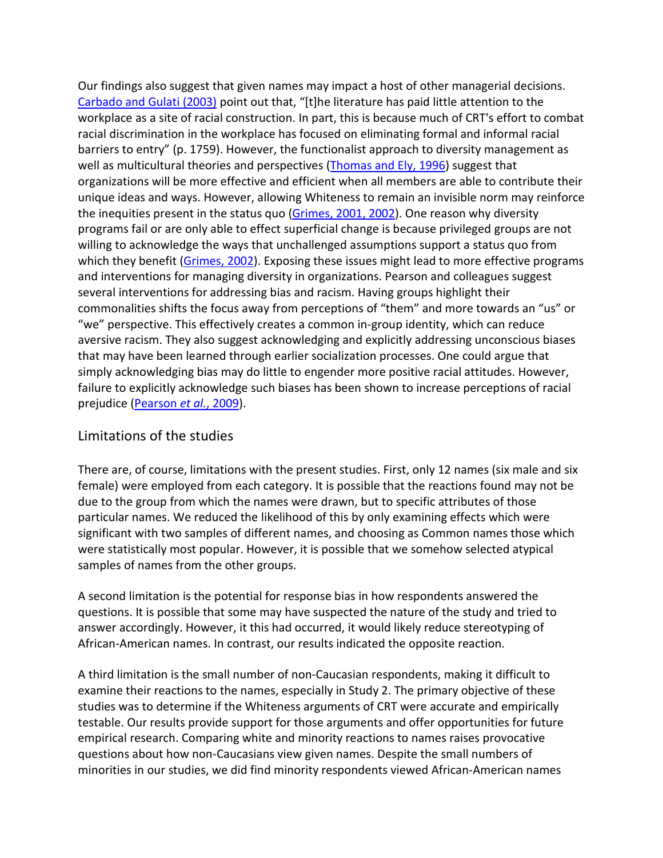Our findings also suggest that given names may impact a host of other managerial decisions. [Carbado and Gulati \(2003\)](https://www.emeraldinsight.com/doi/full/10.1108/JMP-03-2012-0086) point out that, "[t]he literature has paid little attention to the workplace as a site of racial construction. In part, this is because much of CRT's effort to combat racial discrimination in the workplace has focused on eliminating formal and informal racial barriers to entry" (p. 1759). However, the functionalist approach to diversity management as well as multicultural theories and perspectives [\(Thomas and Ely, 1996\)](https://www.emeraldinsight.com/doi/full/10.1108/JMP-03-2012-0086) suggest that organizations will be more effective and efficient when all members are able to contribute their unique ideas and ways. However, allowing Whiteness to remain an invisible norm may reinforce the inequities present in the status quo [\(Grimes, 2001, 2002\)](https://www.emeraldinsight.com/doi/full/10.1108/JMP-03-2012-0086). One reason why diversity programs fail or are only able to effect superficial change is because privileged groups are not willing to acknowledge the ways that unchallenged assumptions support a status quo from which they benefit [\(Grimes, 2002\)](https://www.emeraldinsight.com/doi/full/10.1108/JMP-03-2012-0086). Exposing these issues might lead to more effective programs and interventions for managing diversity in organizations. Pearson and colleagues suggest several interventions for addressing bias and racism. Having groups highlight their commonalities shifts the focus away from perceptions of "them" and more towards an "us" or "we" perspective. This effectively creates a common in-group identity, which can reduce aversive racism. They also suggest acknowledging and explicitly addressing unconscious biases that may have been learned through earlier socialization processes. One could argue that simply acknowledging bias may do little to engender more positive racial attitudes. However, failure to explicitly acknowledge such biases has been shown to increase perceptions of racial prejudice [\(Pearson](https://www.emeraldinsight.com/doi/full/10.1108/JMP-03-2012-0086) *et al.*, 2009).

## <span id="page-13-0"></span>Limitations of the studies

There are, of course, limitations with the present studies. First, only 12 names (six male and six female) were employed from each category. It is possible that the reactions found may not be due to the group from which the names were drawn, but to specific attributes of those particular names. We reduced the likelihood of this by only examining effects which were significant with two samples of different names, and choosing as Common names those which were statistically most popular. However, it is possible that we somehow selected atypical samples of names from the other groups.

A second limitation is the potential for response bias in how respondents answered the questions. It is possible that some may have suspected the nature of the study and tried to answer accordingly. However, it this had occurred, it would likely reduce stereotyping of African-American names. In contrast, our results indicated the opposite reaction.

A third limitation is the small number of non-Caucasian respondents, making it difficult to examine their reactions to the names, especially in Study 2. The primary objective of these studies was to determine if the Whiteness arguments of CRT were accurate and empirically testable. Our results provide support for those arguments and offer opportunities for future empirical research. Comparing white and minority reactions to names raises provocative questions about how non-Caucasians view given names. Despite the small numbers of minorities in our studies, we did find minority respondents viewed African-American names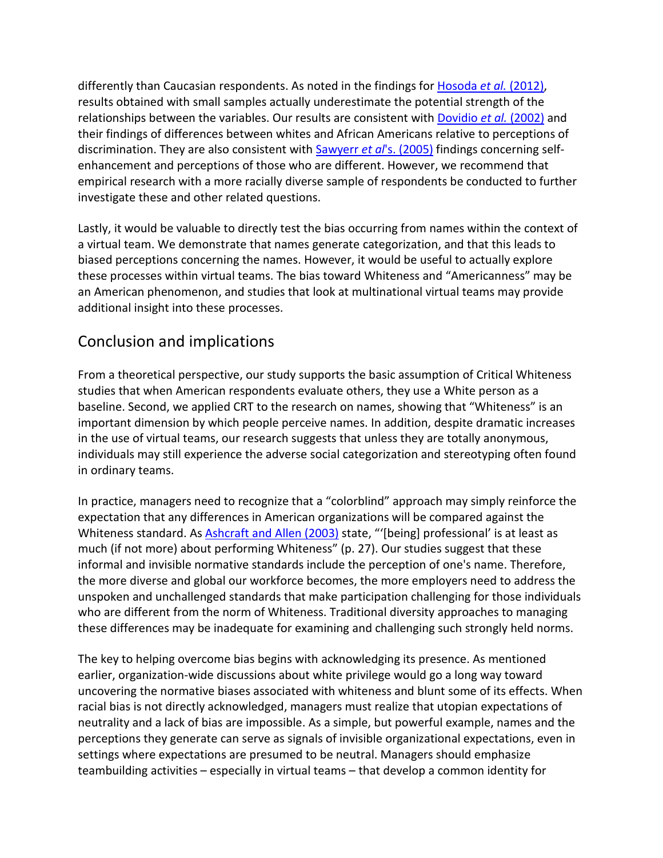differently than Caucasian respondents. As noted in the findings for [Hosoda](https://www.emeraldinsight.com/doi/full/10.1108/JMP-03-2012-0086) *et al.* (2012), results obtained with small samples actually underestimate the potential strength of the relationships between the variables. Our results are consistent with [Dovidio](https://www.emeraldinsight.com/doi/full/10.1108/JMP-03-2012-0086) *et al.* (2002) and their findings of differences between whites and African Americans relative to perceptions of discrimination. They are also consistent wit[h Sawyerr](https://www.emeraldinsight.com/doi/full/10.1108/JMP-03-2012-0086) *et al*'s. (2005) findings concerning selfenhancement and perceptions of those who are different. However, we recommend that empirical research with a more racially diverse sample of respondents be conducted to further investigate these and other related questions.

Lastly, it would be valuable to directly test the bias occurring from names within the context of a virtual team. We demonstrate that names generate categorization, and that this leads to biased perceptions concerning the names. However, it would be useful to actually explore these processes within virtual teams. The bias toward Whiteness and "Americanness" may be an American phenomenon, and studies that look at multinational virtual teams may provide additional insight into these processes.

# <span id="page-14-0"></span>Conclusion and implications

From a theoretical perspective, our study supports the basic assumption of Critical Whiteness studies that when American respondents evaluate others, they use a White person as a baseline. Second, we applied CRT to the research on names, showing that "Whiteness" is an important dimension by which people perceive names. In addition, despite dramatic increases in the use of virtual teams, our research suggests that unless they are totally anonymous, individuals may still experience the adverse social categorization and stereotyping often found in ordinary teams.

In practice, managers need to recognize that a "colorblind" approach may simply reinforce the expectation that any differences in American organizations will be compared against the Whiteness standard. As **Ashcraft [and Allen \(2003\)](https://www.emeraldinsight.com/doi/full/10.1108/JMP-03-2012-0086)** state, "'[being] professional' is at least as much (if not more) about performing Whiteness" (p. 27). Our studies suggest that these informal and invisible normative standards include the perception of one's name. Therefore, the more diverse and global our workforce becomes, the more employers need to address the unspoken and unchallenged standards that make participation challenging for those individuals who are different from the norm of Whiteness. Traditional diversity approaches to managing these differences may be inadequate for examining and challenging such strongly held norms.

The key to helping overcome bias begins with acknowledging its presence. As mentioned earlier, organization-wide discussions about white privilege would go a long way toward uncovering the normative biases associated with whiteness and blunt some of its effects. When racial bias is not directly acknowledged, managers must realize that utopian expectations of neutrality and a lack of bias are impossible. As a simple, but powerful example, names and the perceptions they generate can serve as signals of invisible organizational expectations, even in settings where expectations are presumed to be neutral. Managers should emphasize teambuilding activities – especially in virtual teams – that develop a common identity for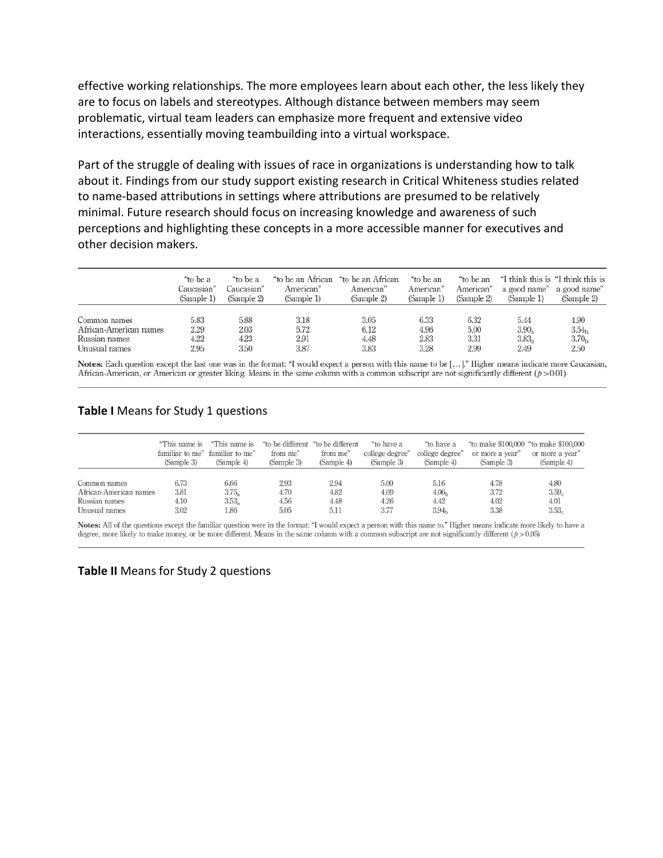effective working relationships. The more employees learn about each other, the less likely they are to focus on labels and stereotypes. Although distance between members may seem problematic, virtual team leaders can emphasize more frequent and extensive video interactions, essentially moving teambuilding into a virtual workspace.

Part of the struggle of dealing with issues of race in organizations is understanding how to talk about it. Findings from our study support existing research in Critical Whiteness studies related to name-based attributions in settings where attributions are presumed to be relatively minimal. Future research should focus on increasing knowledge and awareness of such perceptions and highlighting these concepts in a more accessible manner for executives and other decision makers.

|                                                         | "to be a<br>Caucasian"<br>(Sample 1) | "to be a<br>Caucasian"<br>(Sample 2) | "to be an African<br>American"<br>(Sample 1) | "to be an African<br>American"<br>(Sample 2) | "to be an<br>American"<br>(Sample 1) | "to be an<br>American"<br>(Sample 2) | a good name"<br>(Sample 1)                     | "I think this is "I think this is<br>a good name"<br>(Sample 2) |
|---------------------------------------------------------|--------------------------------------|--------------------------------------|----------------------------------------------|----------------------------------------------|--------------------------------------|--------------------------------------|------------------------------------------------|-----------------------------------------------------------------|
| Common names<br>African-American names<br>Russian names | 5.83<br>2.29<br>4.22                 | 5.88<br>2.03<br>4.23                 | 3.18<br>5.72<br>2.91                         | 3.05<br>6.12<br>4.48                         | 6.33<br>4.96<br>2.83                 | 6.32<br>5.00<br>3.31                 | 5.44<br>3.90 <sub>2</sub><br>3.83 <sub>a</sub> | 4.90<br>3.54 <sub>b</sub><br>3.70 <sub>b</sub>                  |
| Unusual names                                           | 2.95                                 | 3.50                                 | 3.87                                         | 3.83                                         | 3.28                                 | 2.99                                 | 2.49                                           | 2.50                                                            |

Notes: Each question except the last one was in the format: "I would expect a person with this name to be [...]." Higher means indicate more Caucasian, African-American, or American or greater liking. Means in the same column with a common subscript are not significantly different ( $p > 0.01$ )

#### **Table I** Means for Study 1 questions

|                        | "This name is<br>(Sample 3) | "This name is<br>familiar to me" familiar to me"<br>(Sample 4) | from me"<br>(Sample 3) | "to be different "to be different"<br>from me"<br>(Sample 4) | "to have a<br>college degree"<br>(Sample 3) | "to have a<br>college degree"<br>(Sample 4) | "to make \$100,000 "to make \$100,000"<br>or more a year"<br>(Sample 3) | or more a year"<br>(Sample 4) |
|------------------------|-----------------------------|----------------------------------------------------------------|------------------------|--------------------------------------------------------------|---------------------------------------------|---------------------------------------------|-------------------------------------------------------------------------|-------------------------------|
| Common names           | 6.73                        | 6.66                                                           | 2.93                   | 2.94                                                         | 5.00                                        | 5.16                                        | 4.78                                                                    | 4.80                          |
| African-American names | 3.81                        | 3.75 <sub>2</sub>                                              | 4.70                   | 4.82                                                         | 4.09                                        | 4.06 <sub>b</sub>                           | 3.72                                                                    | 3.59 <sub>c</sub>             |
| Russian names          | 4.10                        | 3.53 <sub>a</sub>                                              | 4.56                   | 4.48                                                         | 4.26                                        | 4.42                                        | 4.02                                                                    | 4.01                          |
| Unusual names          | 3.02                        | 1.86                                                           | 5.05                   | 5.11                                                         | 3.77                                        | 3.94 <sub>b</sub>                           | 3.38                                                                    | 3.53 <sub>c</sub>             |

Notes: All of the questions except the familiar question were in the format: "I would expect a person with this name to." Higher means indicate more likely to have a degree, more likely to make money, or be more different. Means in the same column with a common subscript are not significantly different ( $p > 0.05$ )

#### **Table II** Means for Study 2 questions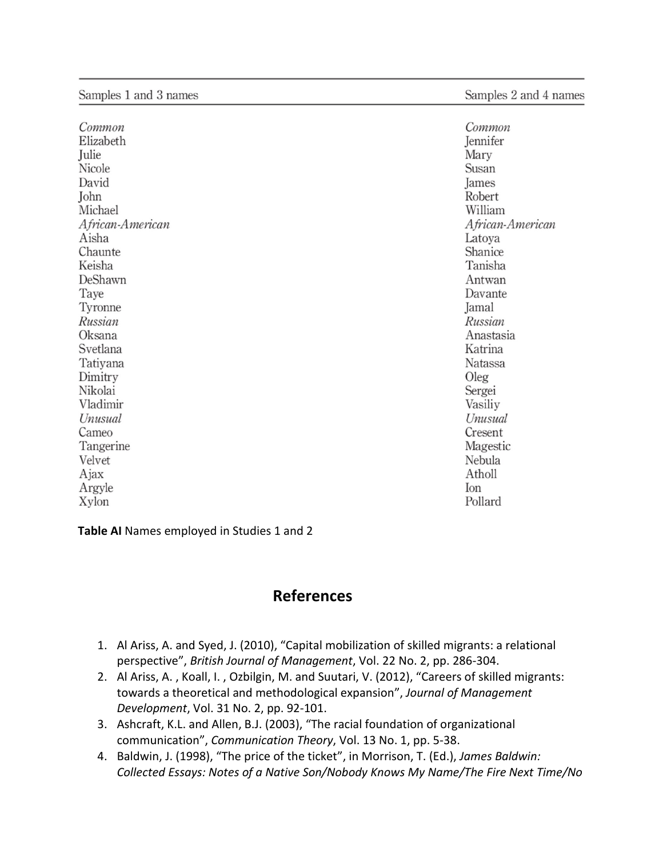| Samples 1 and 3 names |  |  |
|-----------------------|--|--|
|-----------------------|--|--|

| Common           |
|------------------|
| Elizabeth        |
| Julie            |
| Nicole           |
| David            |
| John             |
| Michael          |
| African-American |
| Aisha            |
| Chaunte          |
| Keisha           |
| DeShawn          |
| Taye             |
| Tyronne          |
| Russian          |
| Oksana           |
| Svetlana         |
| Tatiyana         |
| Dimitry          |
| Nikolai          |
| Vladimir         |
| Unusual          |
| Cameo            |
| Tangerine        |
| Velvet           |
| Ajax             |
| Argyle           |
| Xylon            |

Common **Jennifer** Mary Susan **James** Robert William African-American Latoya Shanice Tanisha Antwan Davante Jamal Russian Anastasia Katrina Natassa Oleg Sergei Vasiliy Unusual Cresent Magestic Nebula Atholl Ion Pollard

<span id="page-16-0"></span>**Table AI** Names employed in Studies 1 and 2

## **References**

- 1. Al Ariss, A. and Syed, J. (2010), "Capital mobilization of skilled migrants: a relational perspective", *British Journal of Management*, Vol. 22 No. 2, pp. 286-304.
- 2. Al Ariss, A. , Koall, I. , Ozbilgin, M. and Suutari, V. (2012), "Careers of skilled migrants: towards a theoretical and methodological expansion", *Journal of Management Development*, Vol. 31 No. 2, pp. 92-101.
- 3. Ashcraft, K.L. and Allen, B.J. (2003), "The racial foundation of organizational communication", *Communication Theory*, Vol. 13 No. 1, pp. 5-38.
- 4. Baldwin, J. (1998), "The price of the ticket", in Morrison, T. (Ed.), *James Baldwin: Collected Essays: Notes of a Native Son/Nobody Knows My Name/The Fire Next Time/No*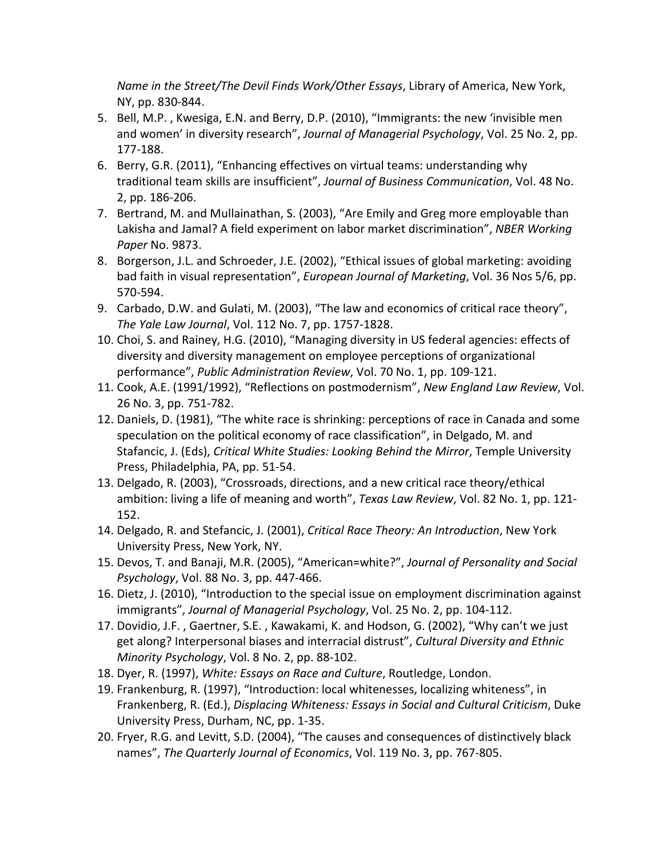*Name in the Street/The Devil Finds Work/Other Essays*, Library of America, New York, NY, pp. 830-844.

- 5. Bell, M.P. , Kwesiga, E.N. and Berry, D.P. (2010), "Immigrants: the new 'invisible men and women' in diversity research", *Journal of Managerial Psychology*, Vol. 25 No. 2, pp. 177-188.
- 6. Berry, G.R. (2011), "Enhancing effectives on virtual teams: understanding why traditional team skills are insufficient", *Journal of Business Communication*, Vol. 48 No. 2, pp. 186-206.
- 7. Bertrand, M. and Mullainathan, S. (2003), "Are Emily and Greg more employable than Lakisha and Jamal? A field experiment on labor market discrimination", *NBER Working Paper* No. 9873.
- 8. Borgerson, J.L. and Schroeder, J.E. (2002), "Ethical issues of global marketing: avoiding bad faith in visual representation", *European Journal of Marketing*, Vol. 36 Nos 5/6, pp. 570-594.
- 9. Carbado, D.W. and Gulati, M. (2003), "The law and economics of critical race theory", *The Yale Law Journal*, Vol. 112 No. 7, pp. 1757-1828.
- 10. Choi, S. and Rainey, H.G. (2010), "Managing diversity in US federal agencies: effects of diversity and diversity management on employee perceptions of organizational performance", *Public Administration Review*, Vol. 70 No. 1, pp. 109-121.
- 11. Cook, A.E. (1991/1992), "Reflections on postmodernism", *New England Law Review*, Vol. 26 No. 3, pp. 751-782.
- 12. Daniels, D. (1981), "The white race is shrinking: perceptions of race in Canada and some speculation on the political economy of race classification", in Delgado, M. and Stafancic, J. (Eds), *Critical White Studies: Looking Behind the Mirror*, Temple University Press, Philadelphia, PA, pp. 51-54.
- 13. Delgado, R. (2003), "Crossroads, directions, and a new critical race theory/ethical ambition: living a life of meaning and worth", *Texas Law Review*, Vol. 82 No. 1, pp. 121- 152.
- 14. Delgado, R. and Stefancic, J. (2001), *Critical Race Theory: An Introduction*, New York University Press, New York, NY.
- 15. Devos, T. and Banaji, M.R. (2005), "American=white?", *Journal of Personality and Social Psychology*, Vol. 88 No. 3, pp. 447-466.
- 16. Dietz, J. (2010), "Introduction to the special issue on employment discrimination against immigrants", *Journal of Managerial Psychology*, Vol. 25 No. 2, pp. 104-112.
- 17. Dovidio, J.F. , Gaertner, S.E. , Kawakami, K. and Hodson, G. (2002), "Why can't we just get along? Interpersonal biases and interracial distrust", *Cultural Diversity and Ethnic Minority Psychology*, Vol. 8 No. 2, pp. 88-102.
- 18. Dyer, R. (1997), *White: Essays on Race and Culture*, Routledge, London.
- 19. Frankenburg, R. (1997), "Introduction: local whitenesses, localizing whiteness", in Frankenberg, R. (Ed.), *Displacing Whiteness: Essays in Social and Cultural Criticism*, Duke University Press, Durham, NC, pp. 1-35.
- 20. Fryer, R.G. and Levitt, S.D. (2004), "The causes and consequences of distinctively black names", *The Quarterly Journal of Economics*, Vol. 119 No. 3, pp. 767-805.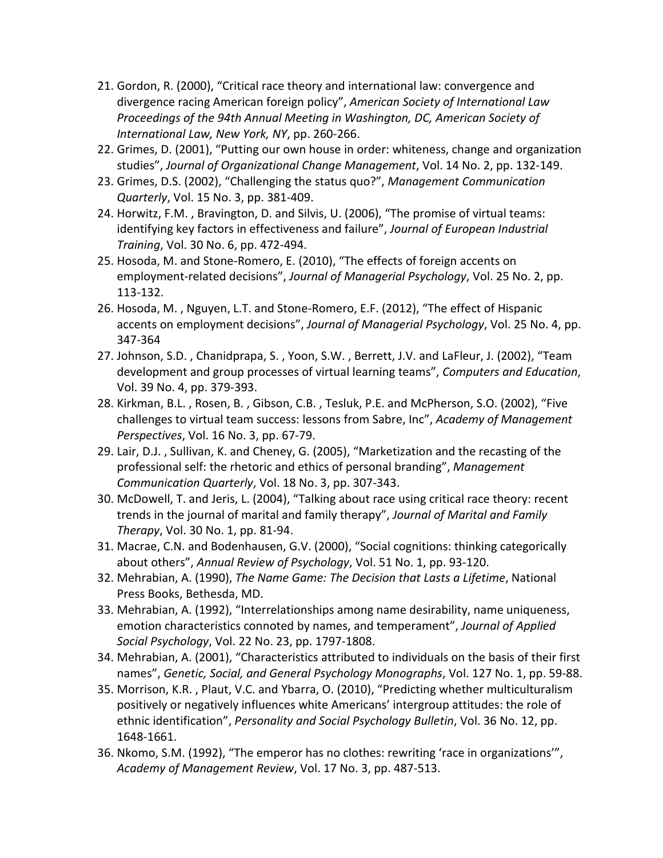- 21. Gordon, R. (2000), "Critical race theory and international law: convergence and divergence racing American foreign policy", *American Society of International Law Proceedings of the 94th Annual Meeting in Washington, DC, American Society of International Law, New York, NY*, pp. 260-266.
- 22. Grimes, D. (2001), "Putting our own house in order: whiteness, change and organization studies", *Journal of Organizational Change Management*, Vol. 14 No. 2, pp. 132-149.
- 23. Grimes, D.S. (2002), "Challenging the status quo?", *Management Communication Quarterly*, Vol. 15 No. 3, pp. 381-409.
- 24. Horwitz, F.M. , Bravington, D. and Silvis, U. (2006), "The promise of virtual teams: identifying key factors in effectiveness and failure", *Journal of European Industrial Training*, Vol. 30 No. 6, pp. 472-494.
- 25. Hosoda, M. and Stone-Romero, E. (2010), "The effects of foreign accents on employment-related decisions", *Journal of Managerial Psychology*, Vol. 25 No. 2, pp. 113-132.
- 26. Hosoda, M. , Nguyen, L.T. and Stone-Romero, E.F. (2012), "The effect of Hispanic accents on employment decisions", *Journal of Managerial Psychology*, Vol. 25 No. 4, pp. 347-364
- 27. Johnson, S.D. , Chanidprapa, S. , Yoon, S.W. , Berrett, J.V. and LaFleur, J. (2002), "Team development and group processes of virtual learning teams", *Computers and Education*, Vol. 39 No. 4, pp. 379-393.
- 28. Kirkman, B.L. , Rosen, B. , Gibson, C.B. , Tesluk, P.E. and McPherson, S.O. (2002), "Five challenges to virtual team success: lessons from Sabre, Inc", *Academy of Management Perspectives*, Vol. 16 No. 3, pp. 67-79.
- 29. Lair, D.J. , Sullivan, K. and Cheney, G. (2005), "Marketization and the recasting of the professional self: the rhetoric and ethics of personal branding", *Management Communication Quarterly*, Vol. 18 No. 3, pp. 307-343.
- 30. McDowell, T. and Jeris, L. (2004), "Talking about race using critical race theory: recent trends in the journal of marital and family therapy", *Journal of Marital and Family Therapy*, Vol. 30 No. 1, pp. 81-94.
- 31. Macrae, C.N. and Bodenhausen, G.V. (2000), "Social cognitions: thinking categorically about others", *Annual Review of Psychology*, Vol. 51 No. 1, pp. 93-120.
- 32. Mehrabian, A. (1990), *The Name Game: The Decision that Lasts a Lifetime*, National Press Books, Bethesda, MD.
- 33. Mehrabian, A. (1992), "Interrelationships among name desirability, name uniqueness, emotion characteristics connoted by names, and temperament", *Journal of Applied Social Psychology*, Vol. 22 No. 23, pp. 1797-1808.
- 34. Mehrabian, A. (2001), "Characteristics attributed to individuals on the basis of their first names", *Genetic, Social, and General Psychology Monographs*, Vol. 127 No. 1, pp. 59-88.
- 35. Morrison, K.R. , Plaut, V.C. and Ybarra, O. (2010), "Predicting whether multiculturalism positively or negatively influences white Americans' intergroup attitudes: the role of ethnic identification", *Personality and Social Psychology Bulletin*, Vol. 36 No. 12, pp. 1648-1661.
- 36. Nkomo, S.M. (1992), "The emperor has no clothes: rewriting 'race in organizations'", *Academy of Management Review*, Vol. 17 No. 3, pp. 487-513.